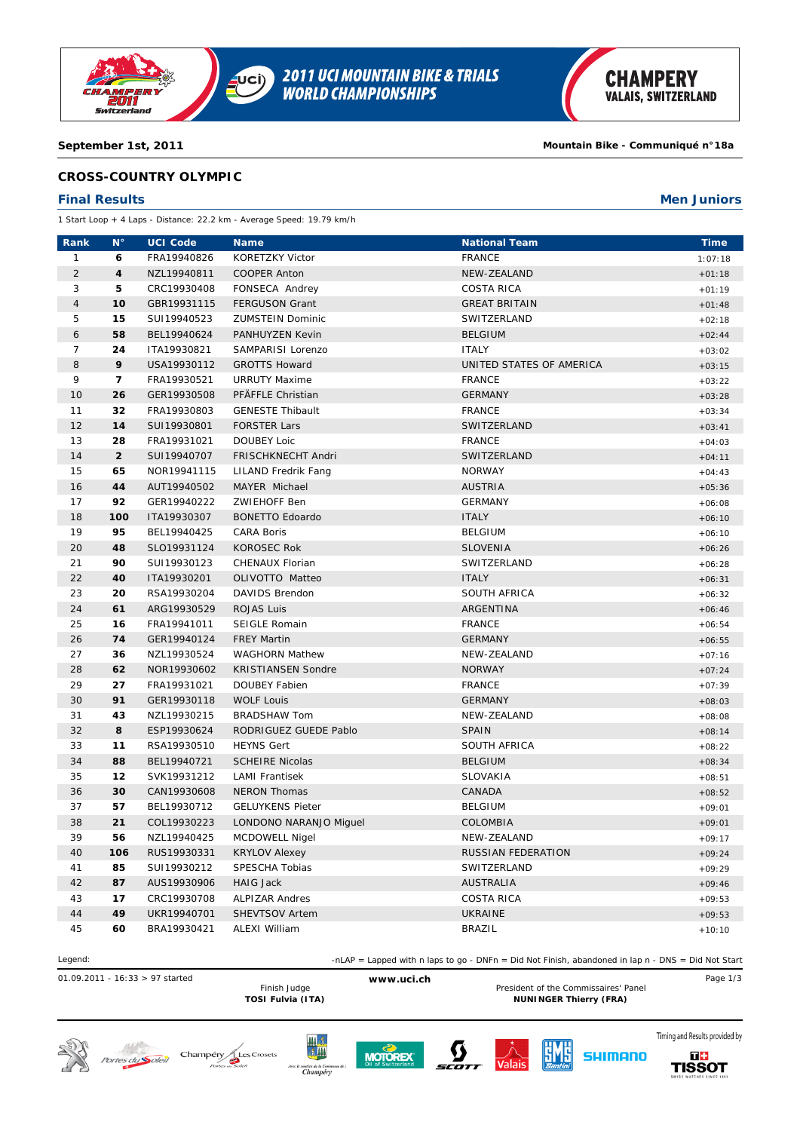

**2011 UCI MOUNTAIN BIKE & TRIALS<br>WORLD CHAMPIONSHIPS** uci)

#### **September 1st, 2011 Mountain Bike - Communiqué n°18a**

### **CROSS-COUNTRY OLYMPIC**

#### **Final Results Men Juniors**

1 Start Loop + 4 Laps - Distance: 22.2 km - Average Speed: 19.79 km/h

| Rank             | $N^{\circ}$    | <b>UCI Code</b> | <b>Name</b>               | <b>National Team</b>     | <b>Time</b> |
|------------------|----------------|-----------------|---------------------------|--------------------------|-------------|
| $\mathbf{1}$     | 6              | FRA19940826     | KORETZKY Victor           | <b>FRANCE</b>            | 1:07:18     |
| $\overline{2}$   | 4              | NZL19940811     | <b>COOPER Anton</b>       | NEW-ZEALAND              | $+01:18$    |
| 3                | 5              | CRC19930408     | FONSECA Andrey            | <b>COSTA RICA</b>        | $+01:19$    |
| $\overline{4}$   | 10             | GBR19931115     | <b>FERGUSON Grant</b>     | <b>GREAT BRITAIN</b>     | $+01:48$    |
| 5                | 15             | SUI19940523     | <b>ZUMSTEIN Dominic</b>   | SWITZERLAND              | $+02:18$    |
| $\boldsymbol{6}$ | 58             | BEL19940624     | PANHUYZEN Kevin           | <b>BELGIUM</b>           | $+02:44$    |
| $\overline{7}$   | 24             | ITA19930821     | SAMPARISI Lorenzo         | <b>ITALY</b>             | $+03:02$    |
| 8                | 9              | USA19930112     | <b>GROTTS Howard</b>      | UNITED STATES OF AMERICA | $+03:15$    |
| 9                | 7              | FRA19930521     | <b>URRUTY Maxime</b>      | <b>FRANCE</b>            | $+03:22$    |
| 10               | 26             | GER19930508     | PFÄFFLE Christian         | <b>GERMANY</b>           | $+03:28$    |
| 11               | 32             | FRA19930803     | <b>GENESTE Thibault</b>   | <b>FRANCE</b>            | $+03:34$    |
| 12               | 14             | SUI19930801     | <b>FORSTER Lars</b>       | SWITZERLAND              | $+03:41$    |
| 13               | 28             | FRA19931021     | <b>DOUBEY Loic</b>        | <b>FRANCE</b>            | $+04:03$    |
| 14               | $\overline{2}$ | SUI19940707     | FRISCHKNECHT Andri        | SWITZERLAND              | $+04:11$    |
| 15               | 65             | NOR19941115     | LILAND Fredrik Fang       | <b>NORWAY</b>            | $+04:43$    |
| 16               | 44             | AUT19940502     | MAYER Michael             | <b>AUSTRIA</b>           | $+05:36$    |
| 17               | 92             | GER19940222     | ZWIEHOFF Ben              | <b>GERMANY</b>           | $+06:08$    |
| 18               | 100            | ITA19930307     | <b>BONETTO Edoardo</b>    | <b>ITALY</b>             | $+06:10$    |
| 19               | 95             | BEL19940425     | CARA Boris                | <b>BELGIUM</b>           | $+06:10$    |
| 20               | 48             | SLO19931124     | <b>KOROSEC Rok</b>        | <b>SLOVENIA</b>          | $+06:26$    |
| 21               | 90             | SUI19930123     | CHENAUX Florian           | SWITZERLAND              | $+06:28$    |
| 22               | 40             | ITA19930201     | OLIVOTTO Matteo           | <b>ITALY</b>             | $+06:31$    |
| 23               | 20             | RSA19930204     | DAVIDS Brendon            | SOUTH AFRICA             | $+06:32$    |
| 24               | 61             | ARG19930529     | <b>ROJAS Luis</b>         | ARGENTINA                | $+06:46$    |
| 25               | 16             | FRA19941011     | SEIGLE Romain             | <b>FRANCE</b>            | $+06:54$    |
| 26               | 74             | GER19940124     | <b>FREY Martin</b>        | <b>GERMANY</b>           | $+06:55$    |
| 27               | 36             | NZL19930524     | <b>WAGHORN Mathew</b>     | NEW-ZEALAND              | $+07:16$    |
| 28               | 62             | NOR19930602     | <b>KRISTIANSEN Sondre</b> | <b>NORWAY</b>            | $+07:24$    |
| 29               | 27             | FRA19931021     | DOUBEY Fabien             | <b>FRANCE</b>            | $+07:39$    |
| 30               | 91             | GER19930118     | <b>WOLF Louis</b>         | <b>GERMANY</b>           | $+08:03$    |
| 31               | 43             | NZL19930215     | <b>BRADSHAW Tom</b>       | NEW-ZEALAND              | $+08:08$    |
| 32               | 8              | ESP19930624     | RODRIGUEZ GUEDE Pablo     | <b>SPAIN</b>             | $+08:14$    |
| 33               | 11             | RSA19930510     | <b>HEYNS Gert</b>         | SOUTH AFRICA             | $+08:22$    |
| 34               | 88             | BEL19940721     | <b>SCHEIRE Nicolas</b>    | <b>BELGIUM</b>           | $+08:34$    |
| 35               | 12             | SVK19931212     | <b>LAMI Frantisek</b>     | SLOVAKIA                 | $+08:51$    |
| 36               | 30             | CAN19930608     | <b>NERON Thomas</b>       | CANADA                   | $+08:52$    |
| 37               | 57             | BEL19930712     | <b>GELUYKENS Pieter</b>   | <b>BELGIUM</b>           | $+09:01$    |
| 38               | 21             | COL19930223     | LONDONO NARANJO Miguel    | COLOMBIA                 | $+09:01$    |
| 39               | 56             | NZL19940425     | <b>MCDOWELL Nigel</b>     | NEW-ZEALAND              | $+09:17$    |
| 40               | 106            | RUS19930331     | <b>KRYLOV Alexey</b>      | RUSSIAN FEDERATION       | $+09:24$    |
| 41               | 85             | SUI19930212     | SPESCHA Tobias            | SWITZERLAND              | $+09:29$    |
| 42               | 87             | AUS19930906     | <b>HAIG Jack</b>          | <b>AUSTRALIA</b>         | $+09:46$    |
| 43               | 17             | CRC19930708     | <b>ALPIZAR Andres</b>     | <b>COSTA RICA</b>        | $+09:53$    |
| 44               | 49             | UKR19940701     | SHEVTSOV Artem            | <b>UKRAINE</b>           | $+09:53$    |
| 45               | 60             | BRA19930421     | <b>ALEXI William</b>      | <b>BRAZIL</b>            | $+10:10$    |

Legend:  $\text{ln} \text{LAP} = \text{Lapped with } \text{n} \text{ laps to go - DNFn = Did Not Finish, abandoned in lap n - DNS = Did Not Start.}$ 

01.09.2011 - 16:33 > 97 started **www.uci.ch** Page 1/3 Finish Judge **Example 20 To All Accepts** President of the Commissaires' Panel<br>TOSI Fulvia (ITA) **President of the Commissaires' Panel** 

**NUNINGER Thierry (FRA)** 















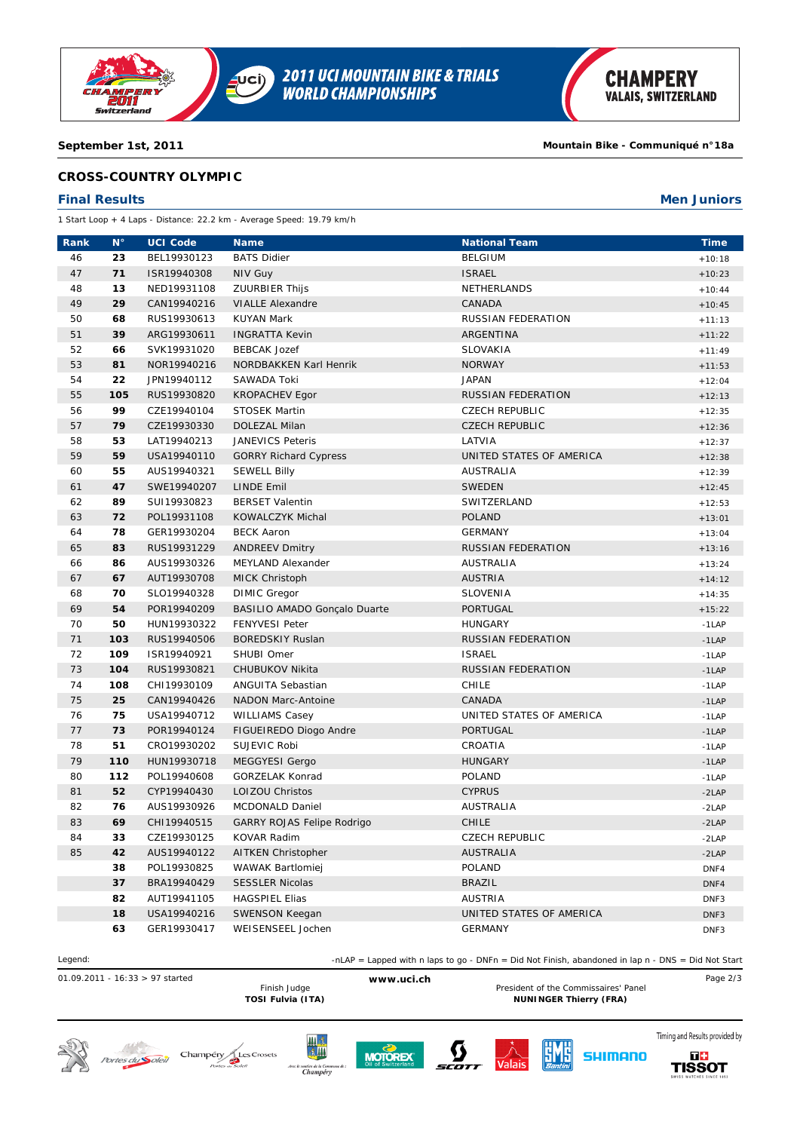

### **September 1st, 2011 Mountain Bike - Communiqué n°18a**

## **CROSS-COUNTRY OLYMPIC**

## **Final Results Men Juniors**

1 Start Loop + 4 Laps - Distance: 22.2 km - Average Speed: 19.79 km/h

| Rank | $\mathbf{N}^{\circ}$ | <b>UCI Code</b> | <b>Name</b>                       | <b>National Team</b>      | <b>Time</b>      |
|------|----------------------|-----------------|-----------------------------------|---------------------------|------------------|
| 46   | 23                   | BEL19930123     | <b>BATS Didier</b>                | <b>BELGIUM</b>            | $+10:18$         |
| 47   | 71                   | ISR19940308     | <b>NIV Guy</b>                    | <b>ISRAEL</b>             | $+10:23$         |
| 48   | 13                   | NED19931108     | <b>ZUURBIER Thijs</b>             | NETHERLANDS               | $+10:44$         |
| 49   | 29                   | CAN19940216     | <b>VIALLE Alexandre</b>           | CANADA                    | $+10:45$         |
| 50   | 68                   | RUS19930613     | <b>KUYAN Mark</b>                 | RUSSIAN FEDERATION        | $+11:13$         |
| 51   | 39                   | ARG19930611     | <b>INGRATTA Kevin</b>             | ARGENTINA                 | $+11:22$         |
| 52   | 66                   | SVK19931020     | <b>BEBCAK Jozef</b>               | SLOVAKIA                  | $+11:49$         |
| 53   | 81                   | NOR19940216     | NORDBAKKEN Karl Henrik            | <b>NORWAY</b>             | $+11:53$         |
| 54   | 22                   | JPN19940112     | SAWADA Toki                       | <b>JAPAN</b>              | $+12:04$         |
| 55   | 105                  | RUS19930820     | <b>KROPACHEV Egor</b>             | <b>RUSSIAN FEDERATION</b> | $+12:13$         |
| 56   | 99                   | CZE19940104     | <b>STOSEK Martin</b>              | <b>CZECH REPUBLIC</b>     | $+12:35$         |
| 57   | 79                   | CZE19930330     | DOLEZAL Milan                     | <b>CZECH REPUBLIC</b>     | $+12:36$         |
| 58   | 53                   | LAT19940213     | JANEVICS Peteris                  | LATVIA                    | $+12:37$         |
| 59   | 59                   | USA19940110     | <b>GORRY Richard Cypress</b>      | UNITED STATES OF AMERICA  | $+12:38$         |
| 60   | 55                   | AUS19940321     | <b>SEWELL Billy</b>               | AUSTRALIA                 | $+12:39$         |
| 61   | 47                   | SWE19940207     | <b>LINDE Emil</b>                 | <b>SWEDEN</b>             | $+12:45$         |
| 62   | 89                   | SUI19930823     | <b>BERSET Valentin</b>            | SWITZERLAND               | $+12:53$         |
| 63   | 72                   | POL19931108     | KOWALCZYK Michal                  | <b>POLAND</b>             | $+13:01$         |
| 64   | 78                   | GER19930204     | <b>BECK Aaron</b>                 | <b>GERMANY</b>            | $+13:04$         |
| 65   | 83                   | RUS19931229     | <b>ANDREEV Dmitry</b>             | RUSSIAN FEDERATION        | $+13:16$         |
| 66   | 86                   | AUS19930326     | MEYLAND Alexander                 | <b>AUSTRALIA</b>          | $+13:24$         |
| 67   | 67                   | AUT19930708     | <b>MICK Christoph</b>             | <b>AUSTRIA</b>            | $+14:12$         |
| 68   | 70                   | SLO19940328     | <b>DIMIC Gregor</b>               | SLOVENIA                  | $+14:35$         |
| 69   | 54                   | POR19940209     | BASILIO AMADO Gonçalo Duarte      | <b>PORTUGAL</b>           | $+15:22$         |
| 70   | 50                   | HUN19930322     | <b>FENYVESI Peter</b>             | HUNGARY                   | $-1$ LAP         |
| 71   | 103                  | RUS19940506     | <b>BOREDSKIY Ruslan</b>           | RUSSIAN FEDERATION        | $-1$ LAP         |
| 72   | 109                  | ISR19940921     | SHUBI Omer                        | <b>ISRAEL</b>             | $-1$ LAP         |
| 73   | 104                  | RUS19930821     | CHUBUKOV Nikita                   | <b>RUSSIAN FEDERATION</b> | $-1$ LAP         |
| 74   | 108                  | CHI19930109     | ANGUITA Sebastian                 | <b>CHILE</b>              | $-1$ LAP         |
| 75   | 25                   | CAN19940426     | <b>NADON Marc-Antoine</b>         | CANADA                    | $-1$ LAP         |
| 76   | 75                   | USA19940712     | <b>WILLIAMS Casey</b>             | UNITED STATES OF AMERICA  | $-1$ LAP         |
| 77   | 73                   | POR19940124     | FIGUEIREDO Diogo Andre            | PORTUGAL                  | $-1$ LAP         |
| 78   | 51                   | CRO19930202     | SUJEVIC Robi                      | CROATIA                   | $-1$ LAP         |
| 79   | 110                  | HUN19930718     | <b>MEGGYESI Gergo</b>             | <b>HUNGARY</b>            | $-1$ LAP         |
| 80   | 112                  | POL19940608     | GORZELAK Konrad                   | POLAND                    | $-1$ LAP         |
| 81   | 52                   | CYP19940430     | LOIZOU Christos                   | <b>CYPRUS</b>             | $-2LAP$          |
| 82   | 76                   | AUS19930926     | MCDONALD Daniel                   | <b>AUSTRALIA</b>          | $-2LAP$          |
| 83   | 69                   | CHI19940515     | <b>GARRY ROJAS Felipe Rodrigo</b> | <b>CHILE</b>              | $-2LAP$          |
| 84   | 33                   | CZE19930125     | <b>KOVAR Radim</b>                | <b>CZECH REPUBLIC</b>     | $-2LAP$          |
| 85   | 42                   | AUS19940122     | <b>AITKEN Christopher</b>         | <b>AUSTRALIA</b>          | $-2LAP$          |
|      | 38                   | POL19930825     | WAWAK Bartlomiej                  | POLAND                    | DNF4             |
|      | 37                   | BRA19940429     | <b>SESSLER Nicolas</b>            | <b>BRAZIL</b>             | DNF4             |
|      | 82                   | AUT19941105     | <b>HAGSPIEL Elias</b>             | <b>AUSTRIA</b>            | DNF3             |
|      | 18                   | USA19940216     | SWENSON Keegan                    | UNITED STATES OF AMERICA  | DNF3             |
|      | 63                   | GER19930417     | WEISENSEEL Jochen                 | <b>GERMANY</b>            | DNF <sub>3</sub> |

Legend:  $\text{ln} \text{LAP} = \text{Lapped with } \text{n} \text{ laps to go - DNFn = Did Not Finish, abandoned in lap n - DNS = Did Not Start.}$ 

01.09.2011 - 16:33 > 97 started **www.uci.ch** Page 2/3

Finish Judge **Example 20 To All Accepts** President of the Commissaires' Panel<br>TOSI Fulvia (ITA) **President of the Commissaires' Panel NUNINGER Thierry (FRA)** 















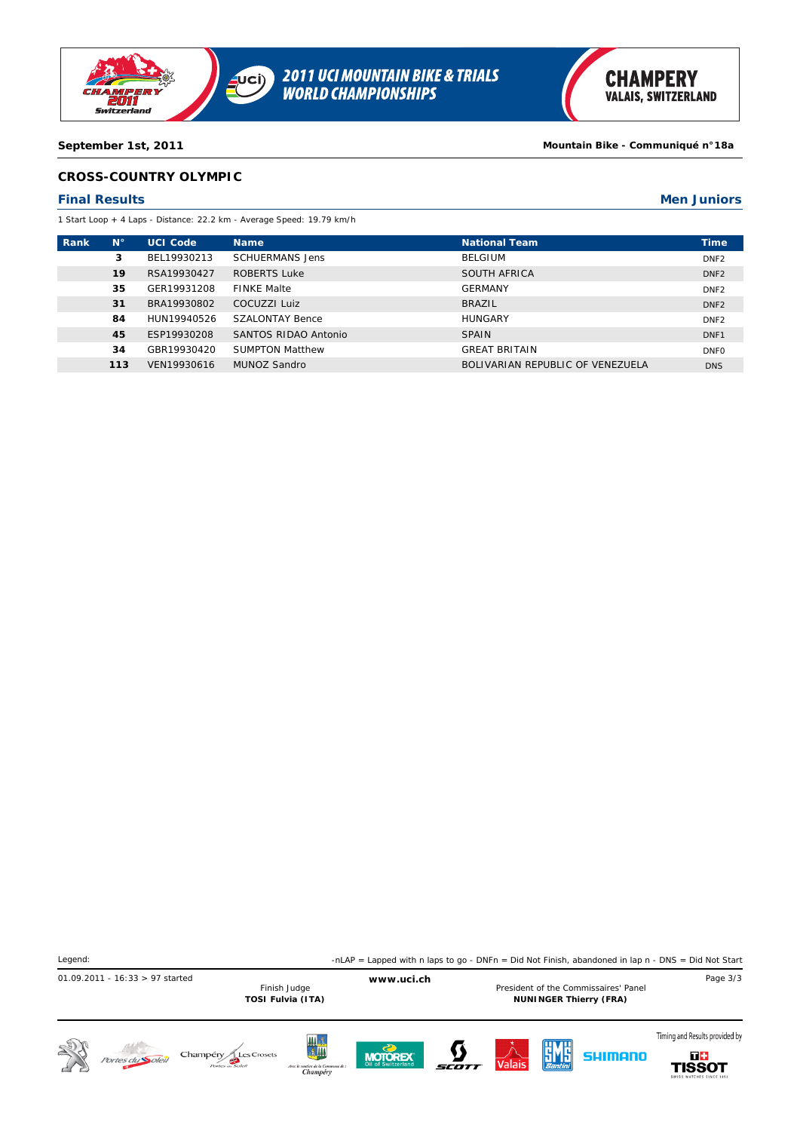

**September 1st, 2011 Mountain Bike - Communiqué n°18a**

## **CROSS-COUNTRY OLYMPIC**

#### **Final Results Men Juniors**

1 Start Loop + 4 Laps - Distance: 22.2 km - Average Speed: 19.79 km/h

| <b>Rank</b> | $N^{\circ}$ | <b>UCI Code</b> | <b>Name</b>            | <b>National Team</b>             | <b>Time</b>      |
|-------------|-------------|-----------------|------------------------|----------------------------------|------------------|
|             | 3           | BEL19930213     | <b>SCHUERMANS Jens</b> | <b>BELGIUM</b>                   | DNF <sub>2</sub> |
|             | 19          | RSA19930427     | ROBERTS Luke           | SOUTH AFRICA                     | DNF <sub>2</sub> |
|             | 35          | GER19931208     | <b>FINKE Malte</b>     | <b>GERMANY</b>                   | DNF <sub>2</sub> |
|             | 31          | BRA19930802     | COCUZZI Luiz           | <b>BRAZIL</b>                    | DNF <sub>2</sub> |
|             | 84          | HUN19940526     | SZALONTAY Bence        | <b>HUNGARY</b>                   | DNF <sub>2</sub> |
|             | 45          | ESP19930208     | SANTOS RIDAO Antonio   | <b>SPAIN</b>                     | DNF1             |
|             | 34          | GBR19930420     | <b>SUMPTON Matthew</b> | <b>GREAT BRITAIN</b>             | <b>DNFO</b>      |
|             | 113         | VEN19930616     | MUNOZ Sandro           | BOLIVARIAN REPUBLIC OF VENEZUELA | <b>DNS</b>       |
|             |             |                 |                        |                                  |                  |

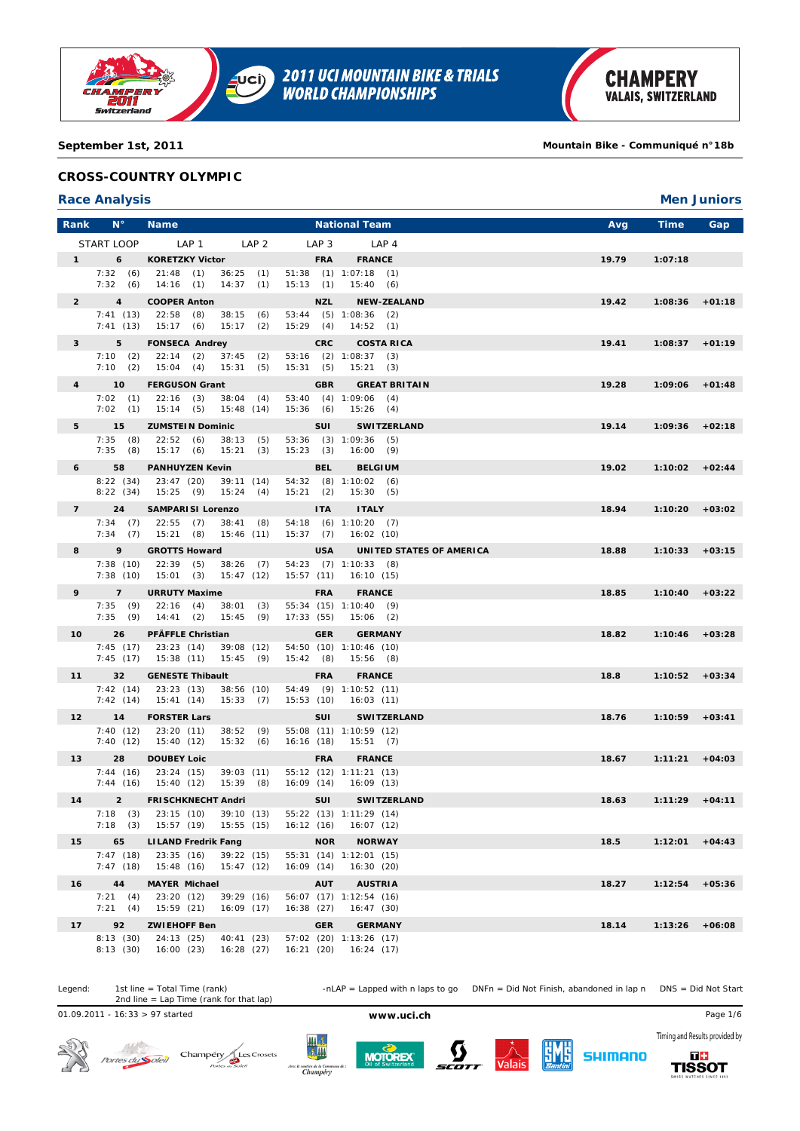

#### **September 1st, 2011 Mountain Bike - Communiqué n°18b**

### **CROSS-COUNTRY OLYMPIC**

#### **Race Analysis Men Juniors**

| Rank                   | $N^{\circ}$                 | <b>Name</b>                                              |                               | <b>National Team</b>                              | Avg   | Time<br>Gap         |
|------------------------|-----------------------------|----------------------------------------------------------|-------------------------------|---------------------------------------------------|-------|---------------------|
|                        | START LOOP                  | LAP 1<br>LAP <sub>2</sub>                                | LAP <sub>3</sub>              | LAP <sub>4</sub>                                  |       |                     |
| $1 \quad \blacksquare$ | $6\quad$                    | <b>KORETZKY Victor</b>                                   | <b>FRA</b>                    | <b>FRANCE</b>                                     | 19.79 | 1:07:18             |
|                        | 7:32(6)                     | 21:48(1)<br>$36:25$ (1)                                  |                               | $51:38$ (1) $1:07:18$ (1)                         |       |                     |
|                        | 7:32(6)                     | $14:16$ (1)<br>14:37<br>(1)                              | 15:13(1)                      | 15:40(6)                                          |       |                     |
| $\overline{2}$         | $\overline{\mathbf{4}}$     | <b>COOPER Anton</b>                                      | <b>NZL</b>                    | <b>NEW-ZEALAND</b>                                | 19.42 | $1:08:36$ +01:18    |
|                        | 7:41(13)<br>7:41(13)        | 22:58<br>(8)<br>38:15<br>(6)<br>15:17(6)<br>15:17<br>(2) | 15:29(4)                      | 53:44 (5) 1:08:36 (2)<br>14:52(1)                 |       |                     |
| $\mathbf{3}$           | $5 -$<br><b>The Co</b>      | <b>FONSECA Andrey</b>                                    | <b>CRC</b>                    | <b>COSTA RICA</b>                                 | 19.41 | $1:08:37 +01:19$    |
|                        | 7:10(2)                     | 22:14<br>(2)<br>37:45<br>(2)                             | 53:16 (2) 1:08:37             | (3)                                               |       |                     |
|                        | 7:10(2)                     | 15:04<br>(4)<br>15:31(5)                                 | 15:31(5)                      | 15:21<br>(3)                                      |       |                     |
| $\overline{4}$         | $\overline{10}$<br>7:02(1)  | <b>FERGUSON Grant</b><br>$22:16$ (3)<br>38:04(4)         | <b>GBR</b>                    | <b>GREAT BRITAIN</b><br>$53:40$ (4) $1:09:06$ (4) | 19.28 | 1:09:06<br>$+01:48$ |
|                        | $7:02$ (1)                  | $15:14$ (5)<br>15:48(14)                                 | 15:36(6)                      | 15:26(4)                                          |       |                     |
| 5                      | 15                          | <b>ZUMSTEIN Dominic</b>                                  | <b>SUI</b>                    | <b>SWITZERLAND</b>                                | 19.14 | 1:09:36<br>$+02:18$ |
|                        | $7:35$ (8)<br>7:35(8)       | 38:13<br>22:52(6)<br>(5)<br>15:17(6)<br>15:21(3)         | 53:36 (3) 1:09:36<br>15:23(3) | (5)<br>16:00(9)                                   |       |                     |
| 6                      | 58                          | <b>PANHUYZEN Kevin</b>                                   | <b>BEL</b>                    | <b>BELGIUM</b>                                    | 19.02 | $+02:44$<br>1:10:02 |
|                        | 8:22(34)                    | 23:47 (20)<br>39:11(14)                                  |                               | $54:32$ (8) $1:10:02$ (6)                         |       |                     |
|                        | 8:22(34)                    | 15:25 (9)<br>15:24(4)                                    | 15:21(2)                      | 15:30(5)                                          |       |                     |
| $7 \sim$               | 24                          | <b>SAMPARISI Lorenzo</b>                                 | <b>ITA</b>                    | <b>ITALY</b>                                      | 18.94 | $1:10:20 +03:02$    |
|                        | 7:34(7)<br>7:34(7)          | $22:55$ (7)<br>$38:41$ (8)<br>$15:21$ (8)<br>15:46(11)   | 15:37(7)                      | $54:18$ (6) $1:10:20$ (7)<br>16:02(10)            |       |                     |
| 8                      | 9                           | <b>GROTTS Howard</b>                                     | <b>USA</b>                    | UNITED STATES OF AMERICA                          | 18.88 | $1:10:33 + 03:15$   |
|                        | 7:38(10)                    | $38:26$ (7)<br>$22:39$ (5)                               |                               | $54:23$ (7) $1:10:33$ (8)                         |       |                     |
|                        | 7:38(10)                    | $15:01$ (3)<br>15:47(12)                                 | 15:57(11)                     | 16:10 (15)                                        |       |                     |
| 9                      | $7^{\circ}$                 | <b>URRUTY Maxime</b>                                     | <b>FRA</b>                    | <b>FRANCE</b>                                     | 18.85 | $1:10:40 + 03:22$   |
|                        | 7:35(9)<br>7:35(9)          | $22:16$ (4)<br>$38:01$ (3)<br>$14:41$ (2)<br>15:45(9)    | 17:33(55)                     | 55:34 (15) 1:10:40 (9)<br>$15:06$ (2)             |       |                     |
| 10 <sup>°</sup>        | 26                          | <b>PFÄFFLE Christian</b>                                 | <b>GER</b>                    | <b>GERMANY</b>                                    | 18.82 | $1:10:46 + 03:28$   |
|                        | 7:45(17)                    | 23:23 (14)<br>39:08 (12)                                 |                               | 54:50 (10) 1:10:46 (10)                           |       |                     |
|                        | 7:45(17)                    | 15:45(9)<br>15:38 (11)                                   | 15:42(8)                      | $15:56$ (8)                                       |       |                     |
| 11                     | 32 <sub>2</sub><br>7:42(14) | <b>GENESTE Thibault</b><br>38:56(10)<br>23:23 (13)       | <b>FRA</b>                    | <b>FRANCE</b><br>54:49 (9) 1:10:52 (11)           | 18.8  | $1:10:52 +03:34$    |
|                        | 7:42(14)                    | 15:41(14)<br>15:33(7)                                    | 15:53(10)                     | 16:03(11)                                         |       |                     |
| 12 <sup>2</sup>        | 14                          | <b>FORSTER Lars</b>                                      | <b>SUI</b>                    | <b>SWITZERLAND</b>                                | 18.76 | 1:10:59<br>$+03:41$ |
|                        | 7:40(12)<br>7:40(12)        | 23:20(11)<br>38:52<br>(9)<br>15:40 (12)<br>15:32(6)      | 16:16(18)                     | 55:08 (11) 1:10:59 (12)<br>15:51(7)               |       |                     |
| 13                     | 28                          | <b>DOUBEY Loic</b>                                       | <b>FRA</b>                    | <b>FRANCE</b>                                     | 18.67 | 1:11:21<br>$+04:03$ |
|                        | 7:44(16)                    | 39:03(11)<br>23:24(15)                                   |                               | 55:12 (12) 1:11:21 (13)                           |       |                     |
|                        | 7:44(16)                    | 15:40 (12)<br>$15:39$ (8)                                | 16:09(14)                     | 16:09 (13)                                        |       |                     |
| 14                     | $2^{\circ}$                 | <b>FRISCHKNECHT Andri</b>                                | SUI                           | <b>SWITZERLAND</b>                                | 18.63 | $1:11:29 +04:11$    |
|                        | 7:18(3)<br>7:18(3)          | 23:15 (10)<br>39:10 (13)<br>15:57 (19)<br>15:55(15)      | 16:12(16)                     | 55:22 (13) 1:11:29 (14)<br>16:07(12)              |       |                     |
| 15                     | 65                          | <b>LILAND Fredrik Fang</b>                               | <b>NOR</b>                    | <b>NORWAY</b>                                     | 18.5  | $1:12:01 + 04:43$   |
|                        | 7:47(18)                    | 23:35(16)<br>39:22 (15)                                  |                               | 55:31 (14) 1:12:01 (15)                           |       |                     |
|                        | 7:47(18)                    | 15:48 (16)<br>15:47(12)                                  | 16:09(14)                     | 16:30(20)                                         |       |                     |
| 16                     | 44<br>7:21(4)               | <b>MAYER Michael</b><br>23:20 (12)<br>39:29 (16)         | <b>AUT</b>                    | <b>AUSTRIA</b><br>56:07 (17) 1:12:54 (16)         | 18.27 | 1:12:54<br>$+05:36$ |
|                        | 7:21(4)                     | 15:59(21)<br>16:09(17)                                   | 16:38(27)                     | 16:47(30)                                         |       |                     |
| 17                     | 92                          | <b>ZWIEHOFF Ben</b>                                      | <b>GER</b>                    | <b>GERMANY</b>                                    | 18.14 | 1:13:26<br>$+06:08$ |
|                        | 8:13(30)                    | 24:13 (25)<br>40:41 (23)                                 |                               | 57:02 (20) 1:13:26 (17)                           |       |                     |
|                        | 8:13(30)                    | 16:00(23)<br>16:28 (27)                                  | 16:21(20)                     | 16:24(17)                                         |       |                     |



01.09.2011 - 16:33 > 97 started **www.uci.ch** Page 1/6











Timing and Results provided by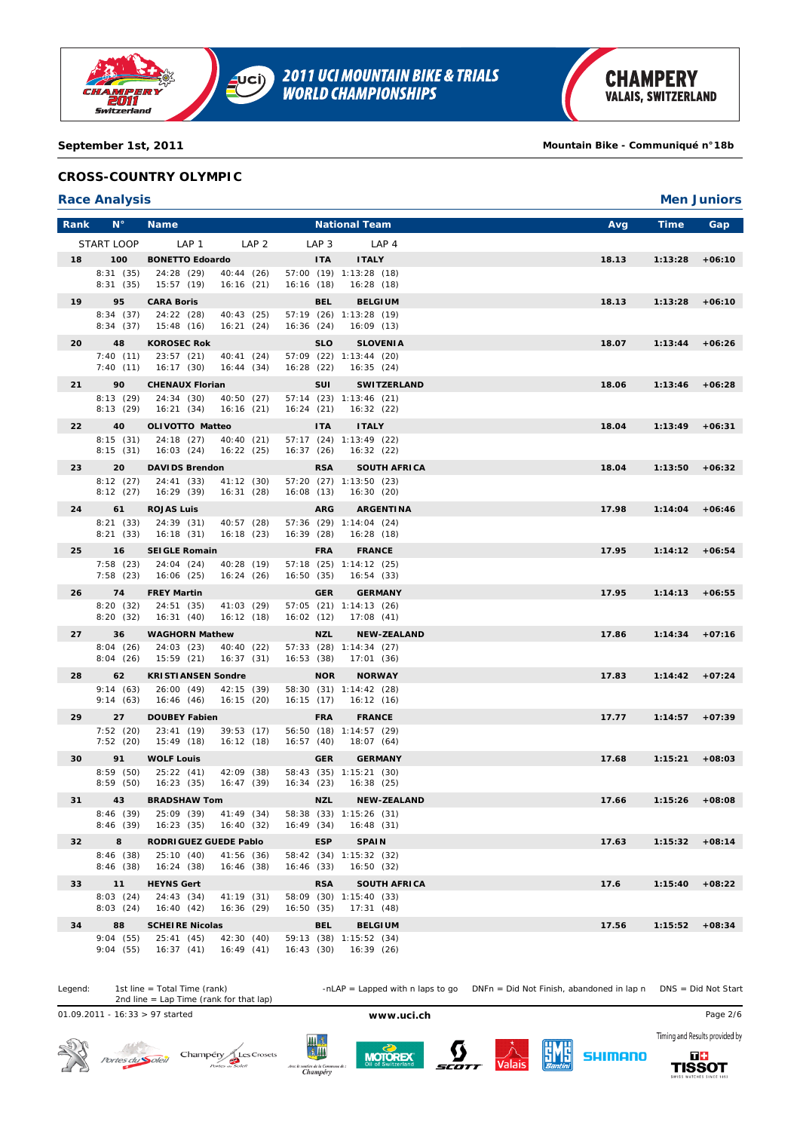

**September 1st, 2011 Mountain Bike - Communiqué n°18b**

## **CROSS-COUNTRY OLYMPIC**

### **Race Analysis Men Juniors**

| Rank | $N^{\circ}$          | <b>Name</b>                                         |                  | <b>National Team</b>                      | Avg   | Time              | Gap      |
|------|----------------------|-----------------------------------------------------|------------------|-------------------------------------------|-------|-------------------|----------|
|      | START LOOP           | LAP <sub>1</sub><br>LAP <sub>2</sub>                | LAP <sub>3</sub> | LAP 4                                     |       |                   |          |
| 18   | 100                  | <b>BONETTO Edoardo</b>                              | <b>ITA</b>       | <b>ITALY</b>                              | 18.13 | 1:13:28           | $+06:10$ |
|      | 8:31(35)             | 24:28 (29)<br>40:44 (26)                            |                  | 57:00 (19) 1:13:28 (18)                   |       |                   |          |
|      | 8:31(35)             | 15:57 (19)<br>16:16(21)                             | 16:16(18)        | 16:28(18)                                 |       |                   |          |
| 19   | 95                   | <b>CARA Boris</b>                                   | <b>BEL</b>       | <b>BELGIUM</b>                            | 18.13 | 1:13:28           | $+06:10$ |
|      | 8:34(37)<br>8:34(37) | 24:22 (28)<br>40:43 (25)<br>16:21(24)<br>15:48(16)  | 16:36(24)        | 57:19 (26) 1:13:28 (19)<br>16:09(13)      |       |                   |          |
| 20   | 48                   | <b>KOROSEC Rok</b>                                  | <b>SLO</b>       | <b>SLOVENIA</b>                           | 18.07 | 1:13:44           | $+06:26$ |
|      | 7:40(11)             | 23:57(21)<br>40:41 (24)                             |                  | 57:09 (22) 1:13:44 (20)                   |       |                   |          |
|      | 7:40(11)             | 16:17(30)<br>16:44(34)                              | 16:28(22)        | 16:35(24)                                 |       |                   |          |
| 21   | 90                   | <b>CHENAUX Florian</b>                              | SUI              | <b>SWITZERLAND</b>                        | 18.06 | 1:13:46           | $+06:28$ |
|      | 8:13(29)             | 24:34 (30)<br>40:50 (27)                            |                  | 57:14 (23) 1:13:46 (21)                   |       |                   |          |
|      | 8:13(29)             | 16:21(34)<br>16:16(21)                              | 16:24(21)        | 16:32(22)                                 |       |                   |          |
| 22   | 40                   | <b>OLIVOTTO Matteo</b>                              | <b>ITA</b>       | <b>ITALY</b>                              | 18.04 | 1:13:49           | $+06:31$ |
|      | 8:15(31)<br>8:15(31) | 24:18 (27)<br>40:40 (21)<br>16:03(24)<br>16:22(25)  | 16:37(26)        | 57:17 (24) 1:13:49 (22)<br>16:32(22)      |       |                   |          |
| 23   | 20                   | <b>DAVIDS Brendon</b>                               | <b>RSA</b>       | <b>SOUTH AFRICA</b>                       | 18.04 | 1:13:50           | $+06:32$ |
|      | 8:12(27)             | 24:41 (33)<br>41:12(30)                             |                  | 57:20 (27) 1:13:50 (23)                   |       |                   |          |
|      | 8:12(27)             | 16:29(39)<br>16:31(28)                              | 16:08(13)        | 16:30(20)                                 |       |                   |          |
| 24   | 61                   | <b>ROJAS Luis</b>                                   | <b>ARG</b>       | <b>ARGENTINA</b>                          | 17.98 | 1:14:04           | $+06:46$ |
|      | 8:21(33)<br>8:21(33) | 24:39 (31)<br>40:57 (28)                            |                  | 57:36 (29) 1:14:04 (24)                   |       |                   |          |
|      |                      | 16:18(23)<br>16:18(31)                              | 16:39(28)        | 16:28(18)                                 |       |                   |          |
| 25   | 16<br>7:58(23)       | <b>SEIGLE Romain</b><br>24:04 (24)<br>40:28 (19)    | <b>FRA</b>       | <b>FRANCE</b><br>57:18 (25) 1:14:12 (25)  | 17.95 | $1:14:12 + 06:54$ |          |
|      | 7:58(23)             | 16:06(25)<br>16:24(26)                              | 16:50(35)        | 16:54(33)                                 |       |                   |          |
| 26   | 74                   | <b>FREY Martin</b>                                  | <b>GER</b>       | <b>GERMANY</b>                            | 17.95 | 1:14:13           | $+06:55$ |
|      | 8:20(32)             | 24:51 (35)<br>41:03 (29)                            |                  | 57:05 (21) 1:14:13 (26)                   |       |                   |          |
|      | 8:20(32)             | 16:31(40)<br>16:12(18)                              | 16:02(12)        | 17:08(41)                                 |       |                   |          |
| 27   | 36                   | <b>WAGHORN Mathew</b>                               | <b>NZL</b>       | <b>NEW-ZEALAND</b>                        | 17.86 | 1:14:34           | $+07:16$ |
|      | 8:04(26)<br>8:04(26) | 24:03 (23)<br>40:40 (22)<br>15:59(21)<br>16:37(31)  | 16:53(38)        | 57:33 (28) 1:14:34 (27)<br>17:01(36)      |       |                   |          |
| 28   | 62                   | <b>KRISTIANSEN Sondre</b>                           | <b>NOR</b>       | <b>NORWAY</b>                             | 17.83 | 1:14:42           | $+07:24$ |
|      | 9:14(63)             | 26:00(49)<br>42:15 (39)                             |                  | 58:30 (31) 1:14:42 (28)                   |       |                   |          |
|      | 9:14(63)             | 16:46(46)<br>16:15(20)                              | 16:15(17)        | 16:12(16)                                 |       |                   |          |
| 29   | 27                   | <b>DOUBEY Fabien</b>                                | <b>FRA</b>       | <b>FRANCE</b>                             | 17.77 | 1:14:57           | $+07:39$ |
|      | 7:52(20)             | 23:41(19)<br>39:53(17)                              |                  | 56:50 (18) 1:14:57 (29)                   |       |                   |          |
|      | 7:52(20)             | 15:49(18)<br>16:12(18)                              | 16:57(40)        | 18:07 (64)                                |       |                   |          |
| 30   | 91<br>8:59(50)       | <b>WOLF Louis</b><br>42:09 (38)<br>25:22(41)        | <b>GER</b>       | <b>GERMANY</b><br>58:43 (35) 1:15:21 (30) | 17.68 | 1:15:21           | $+08:03$ |
|      | 8:59(50)             | 16:47(39)<br>16:23(35)                              | 16:34(23)        | 16:38(25)                                 |       |                   |          |
| 31   | 43                   | <b>BRADSHAW Tom</b>                                 | NZL              | <b>NEW-ZEALAND</b>                        | 17.66 | 1:15:26           | $+08:08$ |
|      | 8:46(39)             | 25:09 (39)<br>41:49 (34)                            |                  | 58:38 (33) 1:15:26 (31)                   |       |                   |          |
|      | 8:46(39)             | 16:23(35)<br>16:40 (32)                             | 16:49 (34)       | 16:48(31)                                 |       |                   |          |
| 32   | 8                    | RODRIGUEZ GUEDE Pablo                               | <b>ESP</b>       | <b>SPAIN</b>                              | 17.63 | $1:15:32 +08:14$  |          |
|      | 8:46(38)<br>8:46(38) | 25:10(40)<br>41:56 (36)<br>16:24 (38)<br>16:46 (38) | 16:46(33)        | 58:42 (34) 1:15:32 (32)<br>16:50(32)      |       |                   |          |
| 33   | 11                   | <b>HEYNS Gert</b>                                   | <b>RSA</b>       | <b>SOUTH AFRICA</b>                       | 17.6  | 1:15:40           | $+08:22$ |
|      | 8:03(24)             | 24:43 (34)<br>41:19 (31)                            |                  | 58:09 (30) 1:15:40 (33)                   |       |                   |          |
|      | 8:03(24)             | 16:40(42)<br>16:36 (29)                             | 16:50(35)        | 17:31(48)                                 |       |                   |          |
| 34   | 88                   | <b>SCHEIRE Nicolas</b>                              | BEL              | <b>BELGIUM</b>                            | 17.56 | 1:15:52           | $+08:34$ |
|      | 9:04(55)             | 42:30 (40)<br>25:41 (45)                            |                  | 59:13 (38) 1:15:52 (34)                   |       |                   |          |
|      | 9:04(55)             | 16:37(41)<br>16:49 (41)                             | 16:43(30)        | 16:39 (26)                                |       |                   |          |

Legend: 1st line = Total Time (rank) -nLAP = Lapped with n laps to go DNFn = Did Not Finish, abandoned in lap n DNS = Did Not Start 1st line = Total Time (rank)<br>2nd line = Lap Time (rank for that lap)

01.09.2011 - 16:33 > 97 started **www.uci.ch** Page 2/6









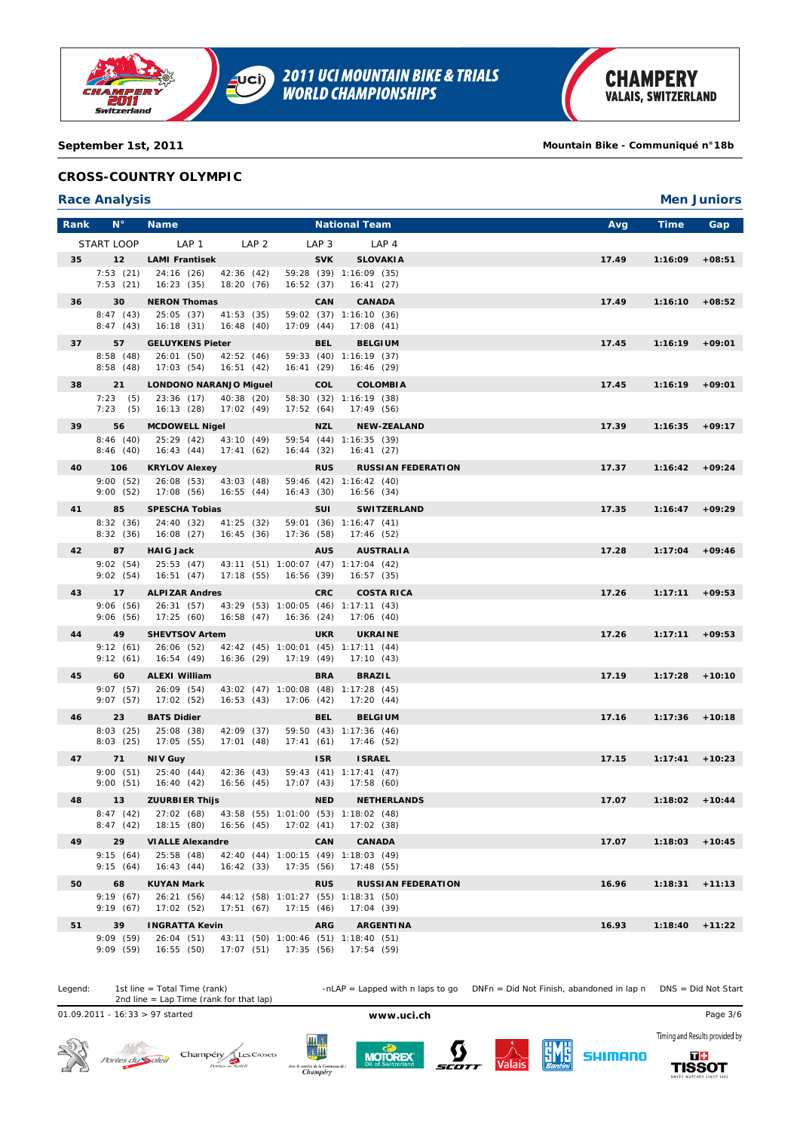

## **September 1st, 2011 Mountain Bike - Communiqué n°18b**

## **CROSS-COUNTRY OLYMPIC**

## **Race Analysis Men Juniors**

| Rank | $N^{\circ}$          | <b>Name</b>                         |                                                                 |                  | <b>National Team</b>                       | Avg   | <b>Time</b>       | Gap      |
|------|----------------------|-------------------------------------|-----------------------------------------------------------------|------------------|--------------------------------------------|-------|-------------------|----------|
|      | START LOOP           | LAP 1                               | LAP <sub>2</sub>                                                | LAP <sub>3</sub> | LAP <sub>4</sub>                           |       |                   |          |
| 35   | 12                   | <b>LAMI Frantisek</b>               |                                                                 | <b>SVK</b>       | <b>SLOVAKIA</b>                            | 17.49 | 1:16:09           | $+08:51$ |
|      | 7:53(21)             | 24:16(26)                           | 42:36 (42)                                                      |                  | 59:28 (39) 1:16:09 (35)                    |       |                   |          |
|      | 7:53(21)             | 16:23(35)                           | 18:20 (76)<br>16:52(37)                                         |                  | 16:41 (27)                                 |       |                   |          |
| 36   | 30                   | <b>NERON Thomas</b>                 |                                                                 | CAN              | <b>CANADA</b>                              | 17.49 | 1:16:10           | $+08:52$ |
|      | 8:47(43)<br>8:47(43) | 25:05 (37)<br>16:18(31)             | 41:53(35)<br>16:48(40)<br>17:09(44)                             |                  | 59:02 (37) 1:16:10 (36)<br>17:08(41)       |       |                   |          |
| 37   | 57                   | <b>GELUYKENS Pieter</b>             |                                                                 | <b>BEL</b>       | <b>BELGIUM</b>                             | 17.45 | 1:16:19           | $+09:01$ |
|      | 8:58(48)             | 26:01(50)                           | 42:52(46)                                                       |                  | 59:33 (40) 1:16:19 (37)                    |       |                   |          |
|      | 8:58(48)             | 17:03(54)                           | 16:51(42)<br>16:41(29)                                          |                  | 16:46 (29)                                 |       |                   |          |
| 38   | 21                   | <b>LONDONO NARANJO Miquel</b>       |                                                                 | COL              | <b>COLOMBIA</b><br>58:30 (32) 1:16:19 (38) | 17.45 | $1:16:19 +09:01$  |          |
|      | 7:23(5)<br>7:23(5)   | 23:36 (17)<br>16:13(28)             | 40:38 (20)<br>17:02(49)<br>17:52(64)                            |                  | 17:49 (56)                                 |       |                   |          |
| 39   | 56                   | <b>MCDOWELL Nigel</b>               |                                                                 | NZL              | <b>NEW-ZEALAND</b>                         | 17.39 | 1:16:35           | $+09:17$ |
|      | 8:46(40)             | 25:29 (42)                          | 43:10 (49)                                                      |                  | 59:54 (44) 1:16:35 (39)                    |       |                   |          |
|      | 8:46(40)             | 16:43(44)                           | 17:41(62)<br>16:44(32)                                          |                  | 16:41(27)                                  |       |                   |          |
| 40   | 106                  | <b>KRYLOV Alexey</b>                |                                                                 | <b>RUS</b>       | <b>RUSSIAN FEDERATION</b>                  | 17.37 | 1:16:42           | $+09:24$ |
|      | 9:00(52)<br>9:00(52) | 26:08(53)<br>17:08 (56)             | 43:03 (48)<br>16:43(30)<br>16:55(44)                            |                  | 59:46 (42) 1:16:42 (40)<br>16:56 (34)      |       |                   |          |
| 41   | 85                   | <b>SPESCHA Tobias</b>               |                                                                 | SUI              | <b>SWITZERLAND</b>                         | 17.35 | 1:16:47           | $+09:29$ |
|      | 8:32(36)             | 24:40 (32)                          | 41:25 (32)                                                      |                  | 59:01 (36) 1:16:47 (41)                    |       |                   |          |
|      | 8:32(36)             | 16:08(27)                           | 16:45(36)<br>17:36(58)                                          |                  | 17:46 (52)                                 |       |                   |          |
| 42   | 87                   | <b>HAIG Jack</b>                    |                                                                 | <b>AUS</b>       | <b>AUSTRALIA</b>                           | 17.28 | 1:17:04           | $+09:46$ |
|      | 9:02(54)<br>9:02(54) | 25:53 (47)<br>16:51(47)             | 43:11 (51) 1:00:07 (47) 1:17:04 (42)<br>17:18(55)<br>16:56 (39) |                  | 16:57 (35)                                 |       |                   |          |
| 43   | 17                   | <b>ALPIZAR Andres</b>               |                                                                 | <b>CRC</b>       | <b>COSTA RICA</b>                          | 17.26 | 1:17:11           | $+09:53$ |
|      | 9:06(56)             | 26:31(57)                           | 43:29 (53) 1:00:05 (46) 1:17:11 (43)                            |                  |                                            |       |                   |          |
|      | 9:06(56)             | 17:25(60)                           | 16:58(47)<br>16:36 (24)                                         |                  | 17:06 (40)                                 |       |                   |          |
| 44   | 49<br>9:12(61)       | <b>SHEVTSOV Artem</b>               | 42:42 (45) 1:00:01 (45) 1:17:11 (44)                            | <b>UKR</b>       | <b>UKRAINE</b>                             | 17.26 | $1:17:11 + 09:53$ |          |
|      | 9:12(61)             | 26:06 (52)<br>16:54(49)             | 16:36(29)<br>17:19 (49)                                         |                  | 17:10(43)                                  |       |                   |          |
| 45   | 60                   | <b>ALEXI William</b>                |                                                                 | <b>BRA</b>       | <b>BRAZIL</b>                              | 17.19 | $1:17:28$ +10:10  |          |
|      | 9:07(57)             | 26:09 (54)                          | 43:02 (47) 1:00:08 (48) 1:17:28 (45)                            |                  |                                            |       |                   |          |
|      | 9:07(57)             | 17:02(52)                           | 16:53(43)<br>17:06 (42)                                         |                  | 17:20(44)                                  |       |                   |          |
| 46   | 23<br>8:03(25)       | <b>BATS Didier</b><br>25:08 (38)    | 42:09 (37)                                                      | <b>BEL</b>       | <b>BELGIUM</b><br>59:50 (43) 1:17:36 (46)  | 17.16 | 1:17:36           | $+10:18$ |
|      | 8:03(25)             | 17:05 (55)                          | 17:41(61)<br>17:01(48)                                          |                  | 17:46 (52)                                 |       |                   |          |
| 47   | 71                   | <b>NIV Guy</b>                      |                                                                 | <b>ISR</b>       | <b>ISRAEL</b>                              | 17.15 | 1:17:41           | $+10:23$ |
|      | 9:00(51)             | 25:40(44)                           | 42:36(43)                                                       |                  | 59:43 (41) 1:17:41 (47)                    |       |                   |          |
|      | 9:00(51)             | 16:40(42)                           | 16:56(45)<br>17:07(43)                                          |                  | 17:58 (60)                                 |       |                   |          |
| 48   | 13<br>8:47(42)       | <b>ZUURBIER Thijs</b><br>27:02 (68) | 43:58 (55) 1:01:00 (53) 1:18:02 (48)                            | <b>NED</b>       | <b>NETHERLANDS</b>                         | 17.07 | $1:18:02 + 10:44$ |          |
|      | 8:47(42)             | 18:15 (80)                          | 16:56(45)<br>17:02 (41)                                         |                  | 17:02(38)                                  |       |                   |          |
| 49   | 29                   | <b>VIALLE Alexandre</b>             |                                                                 | CAN              | <b>CANADA</b>                              | 17.07 | $1:18:03 + 10:45$ |          |
|      | 9:15(64)             | 25:58(48)                           | 42:40 (44) 1:00:15 (49) 1:18:03 (49)                            |                  |                                            |       |                   |          |
|      | 9:15(64)             | 16:43(44)                           | 16:42(33)<br>17:35(56)                                          |                  | 17:48(55)                                  |       |                   |          |
| 50   | 68<br>9:19(67)       | <b>KUYAN Mark</b><br>26:21(56)      | 44:12 (58) 1:01:27 (55) 1:18:31 (50)                            | <b>RUS</b>       | <b>RUSSIAN FEDERATION</b>                  | 16.96 | 1:18:31           | $+11:13$ |
|      | 9:19(67)             | 17:02(52)                           | 17:51(67)<br>17:15(46)                                          |                  | 17:04(39)                                  |       |                   |          |
| 51   | 39                   | <b>INGRATTA Kevin</b>               |                                                                 | <b>ARG</b>       | <b>ARGENTINA</b>                           | 16.93 | 1:18:40           | $+11:22$ |
|      | 9:09(59)             | 26:04(51)                           | 43:11 (50) 1:00:46 (51) 1:18:40 (51)                            |                  |                                            |       |                   |          |
|      | 9:09(59)             | 16:55 (50) 17:07 (51) 17:35 (56)    |                                                                 |                  | 17:54 (59)                                 |       |                   |          |

Legend: 1st line = Total Time (rank) -nLAP = Lapped with n laps to go DNFn = Did Not Finish, abandoned in lap n DNS = Did Not Start 1st line = Total Time (rank)<br>2nd line = Lap Time (rank for that lap)

01.09.2011 - 16:33 > 97 started **www.uci.ch** Page 3/6











**TISSOT**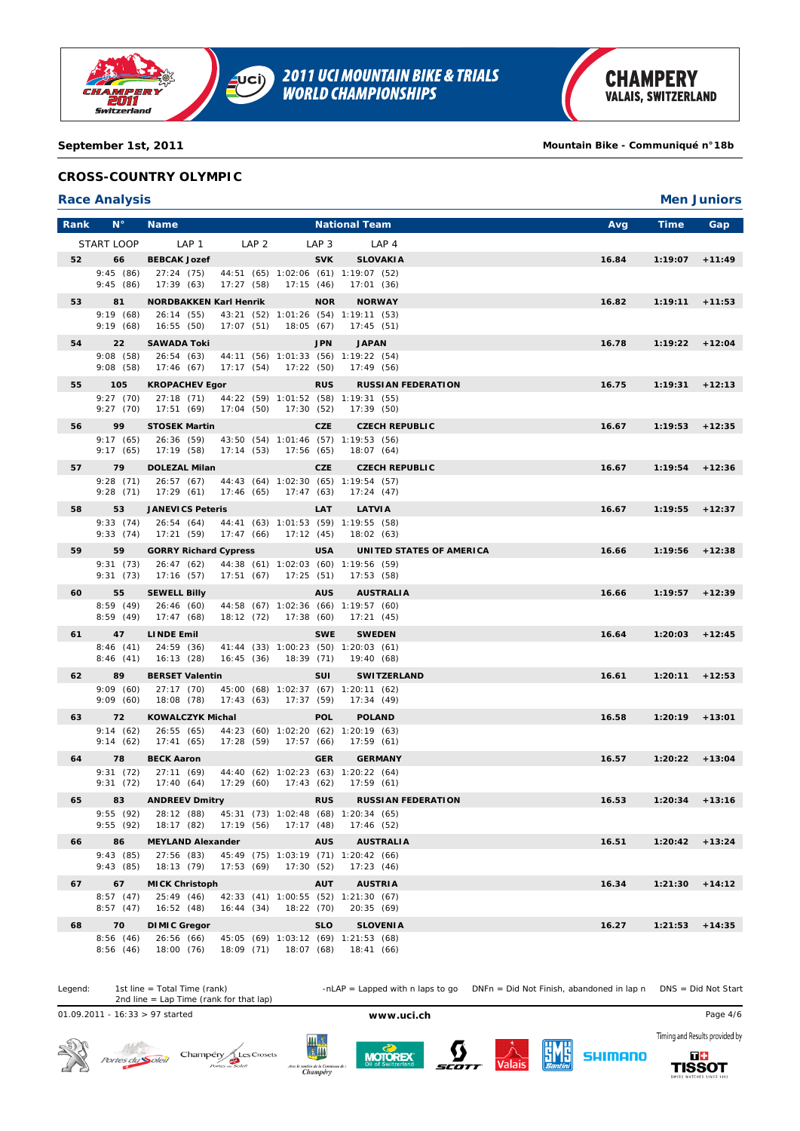

**September 1st, 2011 Mountain Bike - Communiqué n°18b**

## **CROSS-COUNTRY OLYMPIC**

#### **Race Analysis Men Juniors**

| Rank | $N^{\circ}$          | <b>Name</b>                         |                  |            |                  | <b>National Team</b>                                              | Avg   | <b>Time</b>       | Gap      |
|------|----------------------|-------------------------------------|------------------|------------|------------------|-------------------------------------------------------------------|-------|-------------------|----------|
|      | START LOOP           | LAP 1                               | LAP <sub>2</sub> |            | LAP <sub>3</sub> | LAP <sub>4</sub>                                                  |       |                   |          |
| 52   | 66                   | <b>BEBCAK Jozef</b>                 |                  |            | <b>SVK</b>       | <b>SLOVAKIA</b>                                                   | 16.84 | 1:19:07           | $+11:49$ |
|      | 9:45(86)             | 27:24(75)                           |                  |            |                  | 44:51 (65) 1:02:06 (61) 1:19:07 (52)                              |       |                   |          |
|      | 9:45(86)             | 17:39(63)                           | 17:27(58)        | 17:15(46)  |                  | 17:01(36)                                                         |       |                   |          |
| 53   | 81                   | <b>NORDBAKKEN Karl Henrik</b>       |                  |            | <b>NOR</b>       | <b>NORWAY</b>                                                     | 16.82 | $1:19:11 + 11:53$ |          |
|      | 9:19(68)<br>9:19(68) | 26:14 (55)<br>16:55(50)             | 17:07(51)        | 18:05 (67) |                  | 43:21 (52) 1:01:26 (54) 1:19:11 (53)<br>17:45(51)                 |       |                   |          |
| 54   | 22                   | <b>SAWADA Toki</b>                  |                  |            | <b>JPN</b>       | <b>JAPAN</b>                                                      | 16.78 | $1:19:22 + 12:04$ |          |
|      | 9:08(58)             | 26:54(63)                           |                  |            |                  | 44:11 (56) 1:01:33 (56) 1:19:22 (54)                              |       |                   |          |
|      | 9:08(58)             | 17:46(67)                           | 17:17(54)        | 17:22 (50) |                  | 17:49(56)                                                         |       |                   |          |
| 55   | 105                  | <b>KROPACHEV Egor</b>               |                  |            | <b>RUS</b>       | <b>RUSSIAN FEDERATION</b>                                         | 16.75 | 1:19:31           | $+12:13$ |
|      | 9:27(70)             | 27:18(71)                           |                  |            |                  | 44:22 (59) 1:01:52 (58) 1:19:31 (55)                              |       |                   |          |
|      | 9:27(70)             | 17:51 (69)                          | 17:04 (50)       | 17:30 (52) |                  | 17:39 (50)                                                        |       |                   |          |
| 56   | 99<br>9:17(65)       | <b>STOSEK Martin</b><br>26:36 (59)  |                  |            | <b>CZE</b>       | <b>CZECH REPUBLIC</b><br>43:50 (54) 1:01:46 (57) 1:19:53 (56)     | 16.67 | 1:19:53           | $+12:35$ |
|      | 9:17(65)             | 17:19 (58)                          | 17:14(53)        | 17:56 (65) |                  | 18:07 (64)                                                        |       |                   |          |
| 57   | 79                   | <b>DOLEZAL Milan</b>                |                  |            | <b>CZE</b>       | <b>CZECH REPUBLIC</b>                                             | 16.67 | $1:19:54$ +12:36  |          |
|      | 9:28(71)             | 26:57(67)                           |                  |            |                  | 44:43 (64) 1:02:30 (65) 1:19:54 (57)                              |       |                   |          |
|      | 9:28(71)             | 17:29(61)                           | 17:46(65)        | 17:47(63)  |                  | 17:24(47)                                                         |       |                   |          |
| 58   | 53                   | <b>JANEVICS Peteris</b>             |                  |            | LAT              | <b>LATVIA</b>                                                     | 16.67 | 1:19:55           | $+12:37$ |
|      | 9:33(74)<br>9:33(74) | 26:54(64)<br>17:21 (59)             | 17:47(66)        | 17:12(45)  |                  | 44:41 (63) 1:01:53 (59) 1:19:55 (58)<br>18:02 (63)                |       |                   |          |
| 59   | 59                   | <b>GORRY Richard Cypress</b>        |                  |            | <b>USA</b>       | UNITED STATES OF AMERICA                                          | 16.66 | 1:19:56           | $+12:38$ |
|      | 9:31(73)             | 26:47(62)                           |                  |            |                  | 44:38 (61) 1:02:03 (60) 1:19:56 (59)                              |       |                   |          |
|      | 9:31(73)             | 17:16(57)                           | 17:51(67)        | 17:25(51)  |                  | 17:53(58)                                                         |       |                   |          |
| 60   | 55                   | <b>SEWELL Billy</b>                 |                  |            | <b>AUS</b>       | <b>AUSTRALIA</b>                                                  | 16.66 | $1:19:57$ +12:39  |          |
|      | 8:59(49)<br>8:59(49) | 26:46(60)<br>17:47(68)              | 18:12 (72)       | 17:38(60)  |                  | 44:58 (67) 1:02:36 (66) 1:19:57 (60)<br>17:21(45)                 |       |                   |          |
| 61   | 47                   | <b>LINDE Emil</b>                   |                  |            | <b>SWE</b>       | <b>SWEDEN</b>                                                     | 16.64 | 1:20:03           | $+12:45$ |
|      | 8:46(41)             | 24:59 (36)                          |                  |            |                  | 41:44 (33) 1:00:23 (50) 1:20:03 (61)                              |       |                   |          |
|      | 8:46(41)             | 16:13(28)                           | 16:45(36)        | 18:39 (71) |                  | 19:40 (68)                                                        |       |                   |          |
| 62   | 89                   | <b>BERSET Valentin</b>              |                  |            | <b>SUI</b>       | <b>SWITZERLAND</b>                                                | 16.61 | 1:20:11           | $+12:53$ |
|      | 9:09(60)<br>9:09(60) | 27:17(70)<br>18:08 (78)             | 17:43(63)        | 17:37(59)  |                  | 45:00 (68) 1:02:37 (67) 1:20:11 (62)<br>17:34(49)                 |       |                   |          |
| 63   | 72                   | <b>KOWALCZYK Michal</b>             |                  |            | <b>POL</b>       | <b>POLAND</b>                                                     | 16.58 | $1:20:19$ +13:01  |          |
|      | 9:14(62)             | 26:55(65)                           |                  |            |                  | 44:23 (60) 1:02:20 (62) 1:20:19 (63)                              |       |                   |          |
|      | 9:14(62)             | 17:41(65)                           | 17:28 (59)       | 17:57 (66) |                  | 17:59(61)                                                         |       |                   |          |
| 64   | 78                   | <b>BECK Aaron</b>                   |                  |            | <b>GER</b>       | <b>GERMANY</b>                                                    | 16.57 | 1:20:22           | $+13:04$ |
|      | 9:31(72)             | 27:11(69)                           |                  |            |                  | 44:40 (62) 1:02:23 (63) 1:20:22 (64)                              |       |                   |          |
|      | 9:31(72)             | 17:40(64)                           | 17:29(60)        | 17:43(62)  |                  | 17:59 (61)                                                        |       | $1:20:34$ +13:16  |          |
| 65   | 83<br>9:55(92)       | <b>ANDREEV Dmitry</b><br>28:12 (88) |                  |            | <b>RUS</b>       | <b>RUSSIAN FEDERATION</b><br>45:31 (73) 1:02:48 (68) 1:20:34 (65) | 16.53 |                   |          |
|      | 9:55(92)             | 18:17 (82)                          | 17:19(56)        | 17:17 (48) |                  | 17:46 (52)                                                        |       |                   |          |
| 66   | 86                   | <b>MEYLAND Alexander</b>            |                  |            | <b>AUS</b>       | <b>AUSTRALIA</b>                                                  | 16.51 | $1:20:42 + 13:24$ |          |
|      | 9:43(85)             | 27:56 (83)                          |                  |            |                  | 45:49 (75) 1:03:19 (71) 1:20:42 (66)                              |       |                   |          |
|      | 9:43(85)             | 18:13 (79)                          | 17:53(69)        | 17:30(52)  |                  | 17:23(46)                                                         |       |                   |          |
| 67   | 67<br>8:57(47)       | <b>MICK Christoph</b><br>25:49(46)  |                  |            | <b>AUT</b>       | <b>AUSTRIA</b><br>42:33 (41) 1:00:55 (52) 1:21:30 (67)            | 16.34 | 1:21:30           | $+14:12$ |
|      | 8:57(47)             | 16:52(48)                           | 16:44(34)        | 18:22 (70) |                  | 20:35(69)                                                         |       |                   |          |
| 68   | 70                   | <b>DIMIC Gregor</b>                 |                  |            | <b>SLO</b>       | <b>SLOVENIA</b>                                                   | 16.27 | 1:21:53           | $+14:35$ |
|      | 8:56(46)             | 26:56(66)                           |                  |            |                  | 45:05 (69) 1:03:12 (69) 1:21:53 (68)                              |       |                   |          |
|      | 8:56(46)             | 18:00 (76)                          |                  |            |                  | 18:09 (71) 18:07 (68) 18:41 (66)                                  |       |                   |          |

Legend: 1st line = Total Time (rank) -nLAP = Lapped with n laps to go DNFn = Did Not Finish, abandoned in lap n DNS = Did Not Start 1st line = Total Time (rank)<br>2nd line = Lap Time (rank for that lap)

01.09.2011 - 16:33 > 97 started **www.uci.ch** Page 4/6











**TISSOT**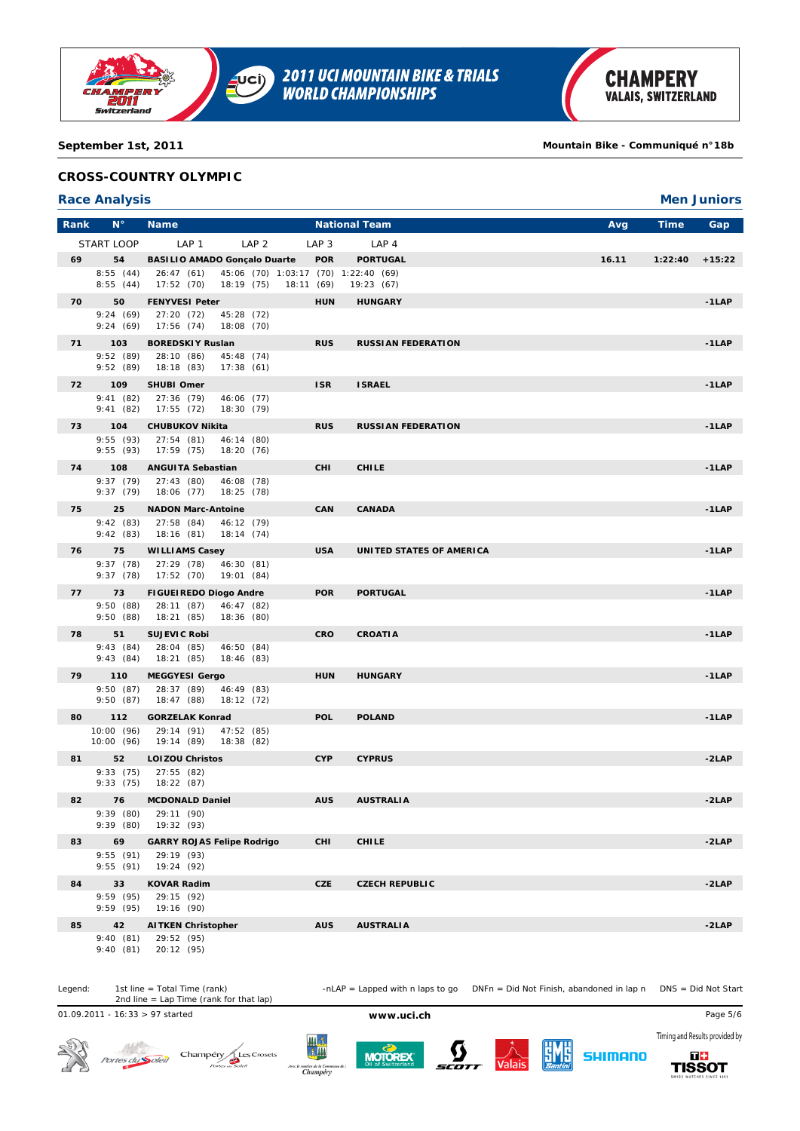

## **September 1st, 2011 Mountain Bike - Communiqué n°18b**

# **CROSS-COUNTRY OLYMPIC**

## **Race Analysis Men Juniors**

| Rank | $N^{\circ}$            | <b>Name</b>                                          |                                                    | <b>National Team</b>      | Avg   | <b>Time</b> | Gap      |
|------|------------------------|------------------------------------------------------|----------------------------------------------------|---------------------------|-------|-------------|----------|
|      | START LOOP             | LAP 1<br>LAP <sub>2</sub>                            | LAP <sub>3</sub>                                   | LAP <sub>4</sub>          |       |             |          |
| 69   | 54                     | <b>BASILIO AMADO Gonçalo Duarte</b>                  | <b>POR</b>                                         | <b>PORTUGAL</b>           | 16.11 | 1:22:40     | $+15:22$ |
|      | 8:55(44)<br>8:55(44)   | 26:47 (61)<br>17:52 (70)<br>18:19 (75)               | 45:06 (70) 1:03:17 (70) 1:22:40 (69)<br>18:11 (69) | 19:23(67)                 |       |             |          |
| 70   | 50                     | <b>FENYVESI Peter</b>                                | <b>HUN</b>                                         | <b>HUNGARY</b>            |       |             | $-1LAP$  |
|      | 9:24(69)<br>9:24(69)   | 27:20 (72)<br>45:28 (72)<br>18:08 (70)<br>17:56 (74) |                                                    |                           |       |             |          |
| 71   | 103                    | <b>BOREDSKIY Ruslan</b>                              | <b>RUS</b>                                         | <b>RUSSIAN FEDERATION</b> |       |             | $-1LAP$  |
|      | 9:52(89)<br>9:52(89)   | 28:10 (86)<br>45:48 (74)<br>17:38(61)<br>18:18 (83)  |                                                    |                           |       |             |          |
| 72   | 109                    | SHUBI Omer                                           | <b>ISR</b>                                         | <b>ISRAEL</b>             |       |             | $-1LAP$  |
|      | 9:41(82)<br>9:41(82)   | 27:36 (79)<br>46:06 (77)<br>17:55 (72)<br>18:30 (79) |                                                    |                           |       |             |          |
| 73   | 104                    | <b>CHUBUKOV Nikita</b>                               | <b>RUS</b>                                         | <b>RUSSIAN FEDERATION</b> |       |             | $-1$ LAP |
|      | 9:55(93)<br>9:55(93)   | 27:54(81)<br>46:14 (80)<br>17:59 (75)<br>18:20 (76)  |                                                    |                           |       |             |          |
| 74   | 108                    | <b>ANGUITA Sebastian</b>                             | <b>CHI</b>                                         | <b>CHILE</b>              |       |             | $-1LAP$  |
|      | 9:37(79)<br>9:37(79)   | 27:43 (80)<br>46:08 (78)<br>18:06 (77)<br>18:25 (78) |                                                    |                           |       |             |          |
| 75   | 25                     | <b>NADON Marc-Antoine</b>                            | <b>CAN</b>                                         | <b>CANADA</b>             |       |             | $-1LAP$  |
|      | 9:42(83)<br>9:42(83)   | 27:58 (84)<br>46:12 (79)<br>18:16 (81)<br>18:14 (74) |                                                    |                           |       |             |          |
| 76   | 75                     | <b>WILLIAMS Casey</b>                                | <b>USA</b>                                         | UNITED STATES OF AMERICA  |       |             | $-1LAP$  |
|      | 9:37(78)<br>9:37(78)   | 27:29 (78)<br>46:30 (81)<br>17:52(70)<br>19:01 (84)  |                                                    |                           |       |             |          |
| 77   | 73                     | <b>FIGUEIREDO Diogo Andre</b>                        | <b>POR</b>                                         | <b>PORTUGAL</b>           |       |             | $-1LAP$  |
|      | 9:50(88)<br>9:50(88)   | 46:47 (82)<br>28:11 (87)<br>18:21 (85)<br>18:36 (80) |                                                    |                           |       |             |          |
| 78   | 51                     | <b>SUJEVIC Robi</b>                                  | <b>CRO</b>                                         | <b>CROATIA</b>            |       |             | $-1LAP$  |
|      | 9:43(84)<br>9:43(84)   | 28:04 (85)<br>46:50 (84)<br>18:21 (85)<br>18:46 (83) |                                                    |                           |       |             |          |
| 79   | 110                    | <b>MEGGYESI Gergo</b>                                | <b>HUN</b>                                         | <b>HUNGARY</b>            |       |             | $-1$ LAP |
|      | 9:50(87)<br>9:50(87)   | 28:37 (89)<br>46:49 (83)<br>18:47 (88)<br>18:12(72)  |                                                    |                           |       |             |          |
| 80   | 112                    | <b>GORZELAK Konrad</b>                               | <b>POL</b>                                         | <b>POLAND</b>             |       |             | $-1$ LAP |
|      | 10:00(96)<br>10:00(96) | 29:14 (91)<br>47:52 (85)<br>19:14 (89)<br>18:38(82)  |                                                    |                           |       |             |          |
| 81   | 52                     | <b>LOIZOU Christos</b>                               | <b>CYP</b>                                         | <b>CYPRUS</b>             |       |             | $-2LAP$  |
|      | 9:33(75)<br>9:33(75)   | 27:55 (82)<br>18:22 (87)                             |                                                    |                           |       |             |          |
| 82   | 76                     | <b>MCDONALD Daniel</b>                               | <b>AUS</b>                                         | <b>AUSTRALIA</b>          |       |             | $-2LAP$  |
|      | 9:39(80)<br>9:39(80)   | 29:11 (90)<br>19:32 (93)                             |                                                    |                           |       |             |          |
| 83   | 69                     | <b>GARRY ROJAS Felipe Rodrigo</b>                    | <b>CHI</b>                                         | <b>CHILE</b>              |       |             | $-2LAP$  |
|      | 9:55(91)<br>9:55(91)   | 29:19 (93)<br>19:24 (92)                             |                                                    |                           |       |             |          |
| 84   | 33                     | KOVAR Radim                                          | <b>CZE</b>                                         | <b>CZECH REPUBLIC</b>     |       |             | -2LAP    |
|      | 9:59(95)<br>9:59(95)   | 29:15 (92)<br>19:16 (90)                             |                                                    |                           |       |             |          |
| 85   | 42                     | <b>AITKEN Christopher</b>                            | <b>AUS</b>                                         | <b>AUSTRALIA</b>          |       |             | $-2LAP$  |
|      | 9:40(81)<br>9:40(81)   | 29:52 (95)<br>20:12 (95)                             |                                                    |                           |       |             |          |

1st line = Total Time (rank)<br>2nd line = Lap Time (rank for that lap)

Legend: 1st line = Total Time (rank) -nLAP = Lapped with n laps to go DNFn = Did Not Finish, abandoned in lap n DNS = Did Not Start

01.09.2011 - 16:33 > 97 started **www.uci.ch** Page 5/6

 $\mathcal{A}^{(t)}$ 



Champéry<br> *Pores a Solen* Portes du Soleil







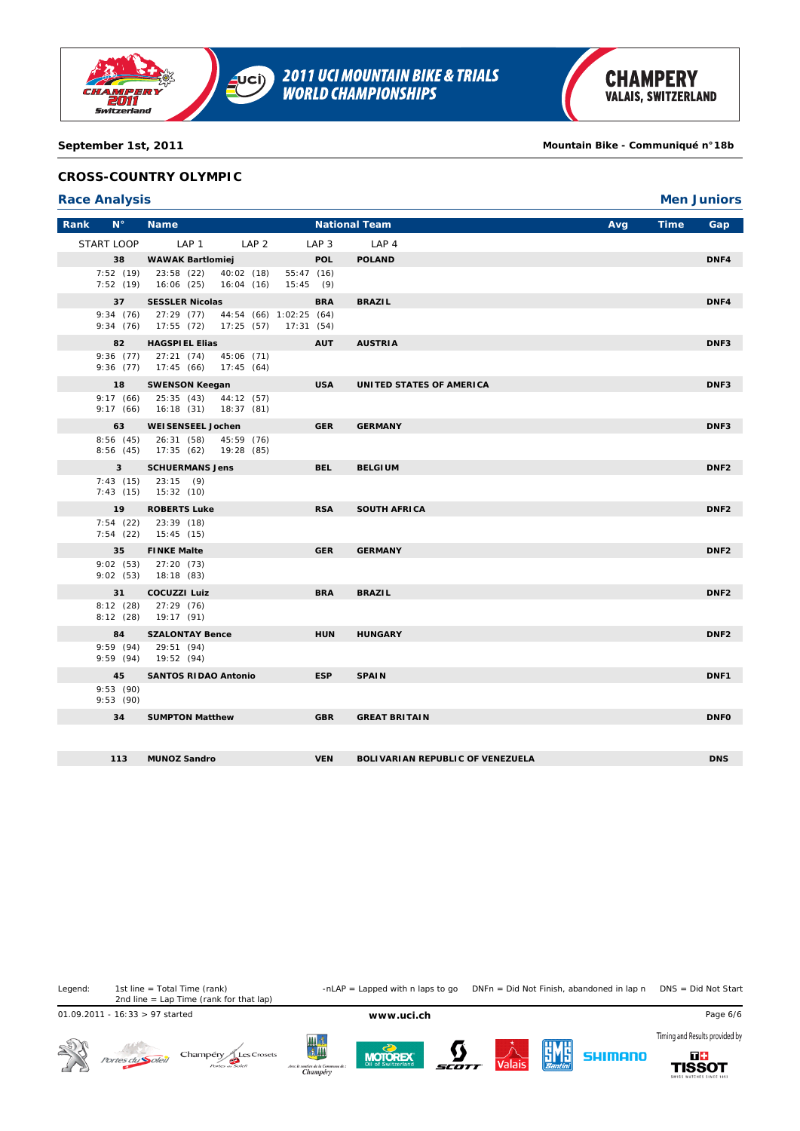

**September 1st, 2011 Mountain Bike - Communiqué n°18b**

## **CROSS-COUNTRY OLYMPIC**

#### **Race Analysis Men Juniors**

| Rank | $N^{\circ}$           | <b>Name</b>                                             |                          |                                                  | <b>National Team</b>                    | Avg | <b>Time</b> | Gap              |
|------|-----------------------|---------------------------------------------------------|--------------------------|--------------------------------------------------|-----------------------------------------|-----|-------------|------------------|
|      | START LOOP            | LAP <sub>1</sub>                                        | LAP <sub>2</sub>         | LAP <sub>3</sub>                                 | LAP <sub>4</sub>                        |     |             |                  |
|      | 38                    | <b>WAWAK Bartlomiej</b>                                 |                          | <b>POL</b>                                       | <b>POLAND</b>                           |     |             | DNF4             |
|      | 7:52(19)              | 23:58 (22)<br>7:52 (19) 16:06 (25) 16:04 (16)           | 40:02 (18)               | 55:47(16)<br>15:45(9)                            |                                         |     |             |                  |
|      | 37                    | <b>SESSLER Nicolas</b>                                  |                          | <b>BRA</b>                                       | <b>BRAZIL</b>                           |     |             | DNF4             |
|      | 9:34(76)              | 27:29 (77)<br>$9:34(76)$ 17:55 (72)                     |                          | 44:54 (66) 1:02:25 (64)<br>17:25 (57) 17:31 (54) |                                         |     |             |                  |
|      | 82                    | <b>HAGSPIEL Elias</b>                                   |                          | <b>AUT</b>                                       | <b>AUSTRIA</b>                          |     |             | DNF3             |
|      |                       | 9:36 (77) 27:21 (74) 45:06 (71)<br>9:36 (77) 17:45 (66) | 17:45(64)                |                                                  |                                         |     |             |                  |
|      | 18                    | <b>SWENSON Keegan</b>                                   |                          | <b>USA</b>                                       | UNITED STATES OF AMERICA                |     |             | DNF3             |
|      | 9:17(66)<br>9:17(66)  | 25:35 (43)<br>16:18 (31)                                | 44:12 (57)<br>18:37(81)  |                                                  |                                         |     |             |                  |
|      | 63                    | <b>WEISENSEEL Jochen</b>                                |                          | <b>GER</b>                                       | <b>GERMANY</b>                          |     |             | DNF3             |
|      | 8:56(45)              | 26:31 (58)<br>8:56 (45) 17:35 (62)                      | 45:59 (76)<br>19:28 (85) |                                                  |                                         |     |             |                  |
|      | $\overline{3}$        | <b>SCHUERMANS Jens</b>                                  |                          | <b>BEL</b>                                       | <b>BELGIUM</b>                          |     |             | DNF <sub>2</sub> |
|      | 7:43(15)              | 23:15(9)<br>$7:43(15)$ 15:32 (10)                       |                          |                                                  |                                         |     |             |                  |
|      | 19                    | <b>ROBERTS Luke</b>                                     |                          | <b>RSA</b>                                       | <b>SOUTH AFRICA</b>                     |     |             | DNF <sub>2</sub> |
|      | 7:54(22)              | 23:39 (18)<br>$7:54$ (22) $15:45$ (15)                  |                          |                                                  |                                         |     |             |                  |
|      | 35                    | <b>FINKE Malte</b>                                      |                          | <b>GER</b>                                       | <b>GERMANY</b>                          |     |             | DNF <sub>2</sub> |
|      | 9:02(53)              | $9:02(53)$ 27:20 (73)<br>18:18 (83)                     |                          |                                                  |                                         |     |             |                  |
|      | 31                    | <b>COCUZZI Luiz</b>                                     |                          | <b>BRA</b>                                       | <b>BRAZIL</b>                           |     |             | DNF <sub>2</sub> |
|      | 8:12(28)<br>8:12(28)  | 27:29 (76)<br>19:17 (91)                                |                          |                                                  |                                         |     |             |                  |
|      | 84                    | <b>SZALONTAY Bence</b>                                  |                          | <b>HUN</b>                                       | <b>HUNGARY</b>                          |     |             | DNF <sub>2</sub> |
|      |                       | 9:59 (94) 29:51 (94)<br>9:59 (94) 19:52 (94)            |                          |                                                  |                                         |     |             |                  |
|      | 45                    | <b>SANTOS RIDAO Antonio</b>                             |                          | <b>ESP</b>                                       | <b>SPAIN</b>                            |     |             | DNF1             |
|      | 9:53 (90)<br>9:53(90) |                                                         |                          |                                                  |                                         |     |             |                  |
|      | 34                    | <b>SUMPTON Matthew</b>                                  |                          | <b>GBR</b>                                       | <b>GREAT BRITAIN</b>                    |     |             | <b>DNFO</b>      |
|      |                       |                                                         |                          |                                                  |                                         |     |             |                  |
|      | 113                   | <b>MUNOZ Sandro</b>                                     |                          | <b>VEN</b>                                       | <b>BOLIVARIAN REPUBLIC OF VENEZUELA</b> |     |             | <b>DNS</b>       |

Legend: 1st line = Total Time (rank) -nLAP = Lapped with n laps to go DNFn = Did Not Finish, abandoned in lap n DNS = Did Not Start 1st line = Total Time (rank)<br>2nd line = Lap Time (rank for that lap)

01.09.2011 - 16:33 > 97 started **www.uci.ch** Page 6/6











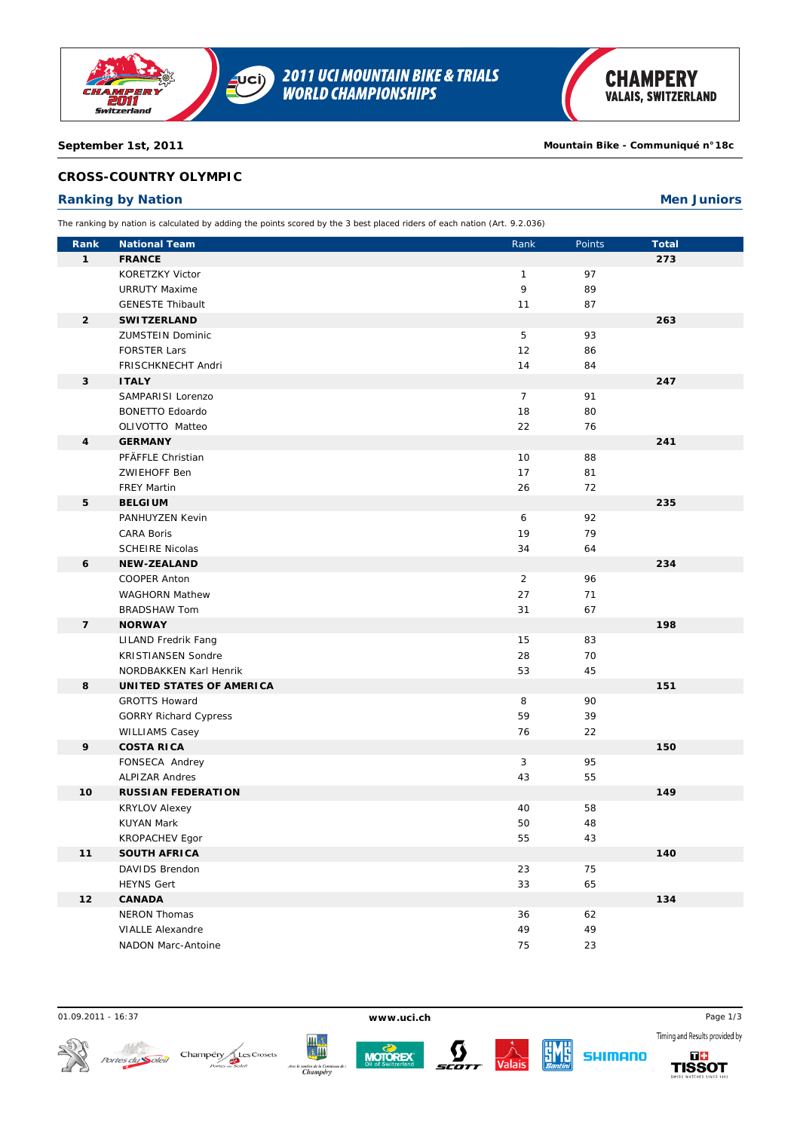

#### **September 1st, 2011 Mountain Bike - Communiqué n°18c**

## **CROSS-COUNTRY OLYMPIC**

# **Ranking by Nation Men Juniors**

The ranking by nation is calculated by adding the points scored by the 3 best placed riders of each nation (Art. 9.2.036)

| Rank           | <b>National Team</b>                  | Rank           | Points | <b>Total</b> |
|----------------|---------------------------------------|----------------|--------|--------------|
| $\mathbf{1}$   | <b>FRANCE</b>                         |                |        | 273          |
|                | KORETZKY Victor                       | $\mathbf{1}$   | 97     |              |
|                | <b>URRUTY Maxime</b>                  | 9              | 89     |              |
|                | <b>GENESTE Thibault</b>               | 11             | 87     |              |
| $\overline{2}$ | <b>SWITZERLAND</b>                    |                |        | 263          |
|                | <b>ZUMSTEIN Dominic</b>               | 5              | 93     |              |
|                | <b>FORSTER Lars</b>                   | 12             | 86     |              |
|                | FRISCHKNECHT Andri                    | 14             | 84     |              |
| 3              | <b>ITALY</b>                          |                |        | 247          |
|                | SAMPARISI Lorenzo                     | $\overline{7}$ | 91     |              |
|                | <b>BONETTO Edoardo</b>                | 18             | 80     |              |
|                | OLIVOTTO Matteo                       | 22             | 76     |              |
| 4              | <b>GERMANY</b>                        |                |        | 241          |
|                | PFÄFFLE Christian                     | 10             | 88     |              |
|                | <b>ZWIEHOFF Ben</b>                   | 17             | 81     |              |
|                | <b>FREY Martin</b>                    | 26             | 72     |              |
| 5              | <b>BELGIUM</b>                        |                |        | 235          |
|                | PANHUYZEN Kevin                       | 6              | 92     |              |
|                | <b>CARA Boris</b>                     | 19             | 79     |              |
|                | <b>SCHEIRE Nicolas</b>                | 34             | 64     |              |
| 6              | <b>NEW-ZEALAND</b>                    |                |        | 234          |
|                | COOPER Anton                          | $\overline{2}$ | 96     |              |
|                | <b>WAGHORN Mathew</b>                 | 27             | 71     |              |
|                | <b>BRADSHAW Tom</b>                   | 31             | 67     |              |
| $\overline{7}$ | <b>NORWAY</b>                         |                |        | 198          |
|                | <b>LILAND Fredrik Fang</b>            | 15             | 83     |              |
|                | <b>KRISTIANSEN Sondre</b>             | 28             | 70     |              |
|                | NORDBAKKEN Karl Henrik                | 53             | 45     |              |
| 8              | UNITED STATES OF AMERICA              |                |        | 151          |
|                | <b>GROTTS Howard</b>                  | 8              | 90     |              |
|                | <b>GORRY Richard Cypress</b>          | 59             | 39     |              |
|                | <b>WILLIAMS Casey</b>                 | 76             | 22     |              |
| 9              | <b>COSTA RICA</b>                     |                |        | 150          |
|                | FONSECA Andrey                        | 3              | 95     |              |
|                | <b>ALPIZAR Andres</b>                 | 43             | 55     |              |
| 10             | <b>RUSSIAN FEDERATION</b>             |                |        | 149          |
|                | <b>KRYLOV Alexey</b>                  | 40             | 58     |              |
|                | <b>KUYAN Mark</b>                     | 50             | 48     |              |
| 11             | KROPACHEV Egor<br><b>SOUTH AFRICA</b> | 55             | 43     | 140          |
|                | DAVIDS Brendon                        | 23             | 75     |              |
|                |                                       | 33             |        |              |
| 12             | <b>HEYNS Gert</b>                     |                | 65     |              |
|                | <b>CANADA</b><br>NERON Thomas         |                |        | 134          |
|                |                                       | 36             | 62     |              |
|                | <b>VIALLE Alexandre</b>               | 49             | 49     |              |
|                | NADON Marc-Antoine                    | 75             | 23     |              |

 $\mathcal{N}^{\ell}$ 









01.09.2011 - 16:37 **www.uci.ch** Page 1/3Timing and Results provided by

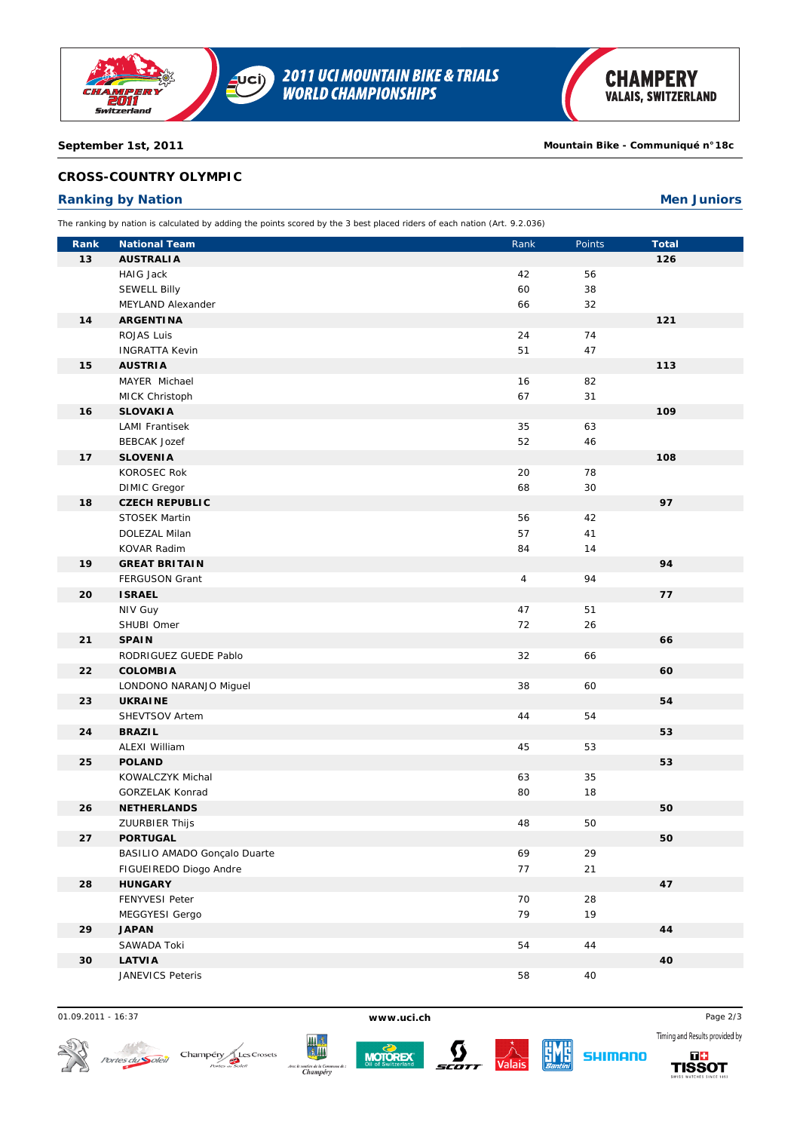

**September 1st, 2011 Mountain Bike - Communiqué n°18c**

## **CROSS-COUNTRY OLYMPIC**

# **Ranking by Nation Men Juniors**

The ranking by nation is calculated by adding the points scored by the 3 best placed riders of each nation (Art. 9.2.036)

| Rank | <b>National Team</b>             | Rank           | Points | <b>Total</b> |
|------|----------------------------------|----------------|--------|--------------|
| 13   | <b>AUSTRALIA</b>                 |                |        | 126          |
|      | HAIG Jack                        | 42             | 56     |              |
|      | <b>SEWELL Billy</b>              | 60             | 38     |              |
|      | MEYLAND Alexander                | 66             | 32     |              |
| 14   | <b>ARGENTINA</b>                 |                |        | 121          |
|      | ROJAS Luis                       | 24             | 74     |              |
|      | <b>INGRATTA Kevin</b>            | 51             | 47     |              |
| 15   | <b>AUSTRIA</b>                   |                |        | 113          |
|      | MAYER Michael                    | 16             | 82     |              |
|      | MICK Christoph                   | 67             | 31     |              |
| 16   | <b>SLOVAKIA</b>                  |                |        | 109          |
|      | <b>LAMI Frantisek</b>            | 35             | 63     |              |
|      | <b>BEBCAK Jozef</b>              | 52             | 46     |              |
| 17   | <b>SLOVENIA</b>                  |                |        | 108          |
|      | KOROSEC Rok                      | 20             | 78     |              |
|      | <b>DIMIC Gregor</b>              | 68             | 30     |              |
| 18   | <b>CZECH REPUBLIC</b>            |                |        | 97           |
|      | <b>STOSEK Martin</b>             | 56             | 42     |              |
|      | DOLEZAL Milan                    | 57             | 41     |              |
|      | KOVAR Radim                      | 84             | 14     |              |
| 19   | <b>GREAT BRITAIN</b>             |                |        | 94           |
|      | FERGUSON Grant                   | $\overline{4}$ | 94     |              |
| 20   | <b>ISRAEL</b>                    |                |        | 77           |
|      | NIV Guy                          | 47             | 51     |              |
|      | SHUBI Omer                       | 72             | 26     |              |
| 21   | <b>SPAIN</b>                     |                |        | 66           |
|      | RODRIGUEZ GUEDE Pablo            | 32             | 66     |              |
| 22   | <b>COLOMBIA</b>                  |                |        | 60           |
| 23   | LONDONO NARANJO Miguel           | 38             | 60     |              |
|      | <b>UKRAINE</b><br>SHEVTSOV Artem | 44             | 54     | 54           |
| 24   | <b>BRAZIL</b>                    |                |        | 53           |
|      | ALEXI William                    | 45             | 53     |              |
| 25   | <b>POLAND</b>                    |                |        | 53           |
|      | KOWALCZYK Michal                 | 63             | 35     |              |
|      | GORZELAK Konrad                  | 80             | 18     |              |
| 26   | <b>NETHERLANDS</b>               |                |        | 50           |
|      | ZUURBIER Thijs                   | 48             | 50     |              |
| 27   | <b>PORTUGAL</b>                  |                |        | 50           |
|      | BASILIO AMADO Gonçalo Duarte     | 69             | 29     |              |
|      | FIGUEIREDO Diogo Andre           | 77             | 21     |              |
| 28   | <b>HUNGARY</b>                   |                |        | 47           |
|      | FENYVESI Peter                   | 70             | 28     |              |
|      | MEGGYESI Gergo                   | 79             | 19     |              |
| 29   | <b>JAPAN</b>                     |                |        | 44           |
|      | SAWADA Toki                      | 54             | 44     |              |
| 30   | <b>LATVIA</b>                    |                |        | 40           |
|      | JANEVICS Peteris                 | 58             | 40     |              |
|      |                                  |                |        |              |

01.09.2011 - 16:37 **www.uci.ch** Page 2/3









SHIMANO

Timing and Results provided by